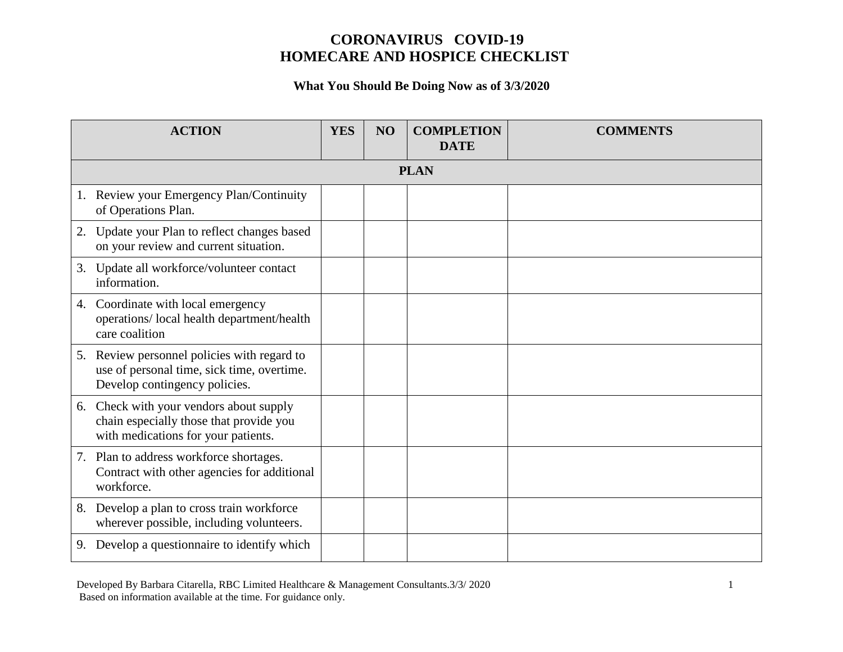#### **What You Should Be Doing Now as of 3/3/2020**

| <b>ACTION</b>                                                                                                                | <b>YES</b> | NO | <b>COMPLETION</b><br><b>DATE</b> | <b>COMMENTS</b> |  |
|------------------------------------------------------------------------------------------------------------------------------|------------|----|----------------------------------|-----------------|--|
| <b>PLAN</b>                                                                                                                  |            |    |                                  |                 |  |
| 1. Review your Emergency Plan/Continuity<br>of Operations Plan.                                                              |            |    |                                  |                 |  |
| Update your Plan to reflect changes based<br>2.<br>on your review and current situation.                                     |            |    |                                  |                 |  |
| 3. Update all workforce/volunteer contact<br>information.                                                                    |            |    |                                  |                 |  |
| Coordinate with local emergency<br>4.<br>operations/ local health department/health<br>care coalition                        |            |    |                                  |                 |  |
| 5. Review personnel policies with regard to<br>use of personal time, sick time, overtime.<br>Develop contingency policies.   |            |    |                                  |                 |  |
| Check with your vendors about supply<br>6.<br>chain especially those that provide you<br>with medications for your patients. |            |    |                                  |                 |  |
| Plan to address workforce shortages.<br>7.<br>Contract with other agencies for additional<br>workforce.                      |            |    |                                  |                 |  |
| 8. Develop a plan to cross train workforce<br>wherever possible, including volunteers.                                       |            |    |                                  |                 |  |
| 9. Develop a questionnaire to identify which                                                                                 |            |    |                                  |                 |  |

Developed By Barbara Citarella, RBC Limited Healthcare & Management Consultants. 3/3/ 2020 1 Based on information available at the time. For guidance only.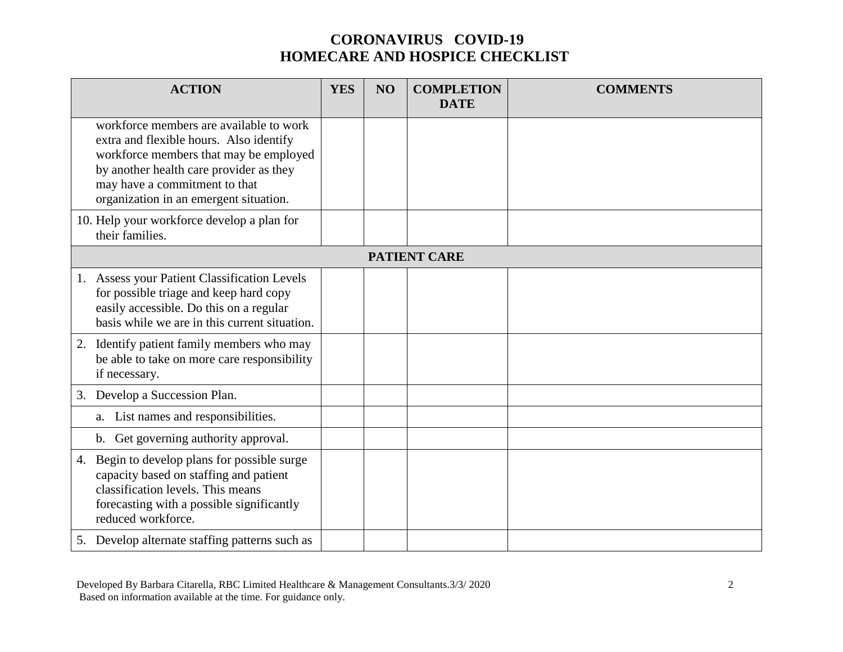| <b>ACTION</b>                                                                                                                                                                                                                                      | <b>YES</b> | NO | <b>COMPLETION</b><br><b>DATE</b> | <b>COMMENTS</b> |  |
|----------------------------------------------------------------------------------------------------------------------------------------------------------------------------------------------------------------------------------------------------|------------|----|----------------------------------|-----------------|--|
| workforce members are available to work<br>extra and flexible hours. Also identify<br>workforce members that may be employed<br>by another health care provider as they<br>may have a commitment to that<br>organization in an emergent situation. |            |    |                                  |                 |  |
| 10. Help your workforce develop a plan for<br>their families.                                                                                                                                                                                      |            |    |                                  |                 |  |
| <b>PATIENT CARE</b>                                                                                                                                                                                                                                |            |    |                                  |                 |  |
| 1. Assess your Patient Classification Levels<br>for possible triage and keep hard copy<br>easily accessible. Do this on a regular<br>basis while we are in this current situation.                                                                 |            |    |                                  |                 |  |
| Identify patient family members who may<br>2.<br>be able to take on more care responsibility<br>if necessary.                                                                                                                                      |            |    |                                  |                 |  |
| 3. Develop a Succession Plan.                                                                                                                                                                                                                      |            |    |                                  |                 |  |
| a. List names and responsibilities.                                                                                                                                                                                                                |            |    |                                  |                 |  |
| b. Get governing authority approval.                                                                                                                                                                                                               |            |    |                                  |                 |  |
| 4. Begin to develop plans for possible surge<br>capacity based on staffing and patient<br>classification levels. This means<br>forecasting with a possible significantly<br>reduced workforce.                                                     |            |    |                                  |                 |  |
| 5. Develop alternate staffing patterns such as                                                                                                                                                                                                     |            |    |                                  |                 |  |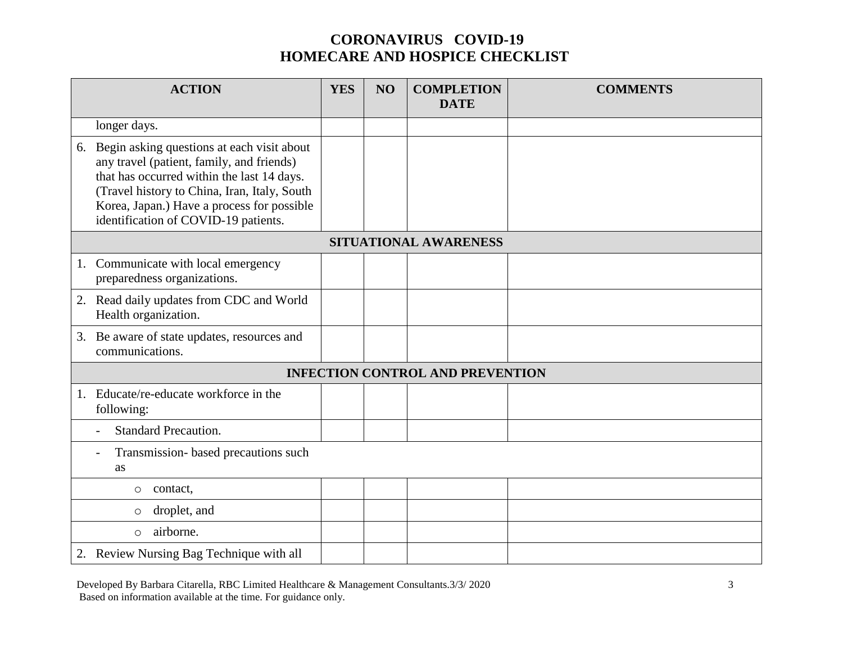| <b>ACTION</b>                                                                                                                                                                                                                                                                  | <b>YES</b> | NO | <b>COMPLETION</b><br><b>DATE</b>        | <b>COMMENTS</b> |  |
|--------------------------------------------------------------------------------------------------------------------------------------------------------------------------------------------------------------------------------------------------------------------------------|------------|----|-----------------------------------------|-----------------|--|
| longer days.                                                                                                                                                                                                                                                                   |            |    |                                         |                 |  |
| 6. Begin asking questions at each visit about<br>any travel (patient, family, and friends)<br>that has occurred within the last 14 days.<br>(Travel history to China, Iran, Italy, South<br>Korea, Japan.) Have a process for possible<br>identification of COVID-19 patients. |            |    |                                         |                 |  |
| SITUATIONAL AWARENESS                                                                                                                                                                                                                                                          |            |    |                                         |                 |  |
| 1. Communicate with local emergency<br>preparedness organizations.                                                                                                                                                                                                             |            |    |                                         |                 |  |
| 2. Read daily updates from CDC and World<br>Health organization.                                                                                                                                                                                                               |            |    |                                         |                 |  |
| 3. Be aware of state updates, resources and<br>communications.                                                                                                                                                                                                                 |            |    |                                         |                 |  |
|                                                                                                                                                                                                                                                                                |            |    | <b>INFECTION CONTROL AND PREVENTION</b> |                 |  |
| Educate/re-educate workforce in the<br>following:                                                                                                                                                                                                                              |            |    |                                         |                 |  |
| <b>Standard Precaution.</b><br>$\overline{\phantom{a}}$                                                                                                                                                                                                                        |            |    |                                         |                 |  |
| Transmission- based precautions such<br><b>as</b>                                                                                                                                                                                                                              |            |    |                                         |                 |  |
| contact,<br>$\circ$                                                                                                                                                                                                                                                            |            |    |                                         |                 |  |
| droplet, and<br>$\circ$                                                                                                                                                                                                                                                        |            |    |                                         |                 |  |
| airborne.<br>$\circ$                                                                                                                                                                                                                                                           |            |    |                                         |                 |  |
| 2. Review Nursing Bag Technique with all                                                                                                                                                                                                                                       |            |    |                                         |                 |  |